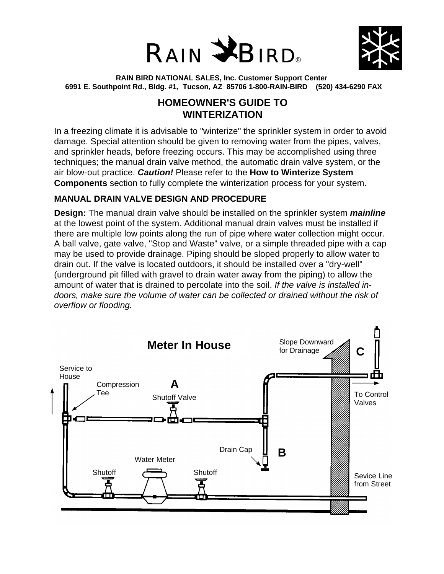



**RAIN BIRD NATIONAL SALES, Inc. Customer Support Center 6991 E. Southpoint Rd., Bldg. #1, Tucson, AZ 85706 1-800-RAIN-BIRD (520) 434-6290 FAX**

# **HOMEOWNER'S GUIDE TO WINTERIZATION**

In a freezing climate it is advisable to "winterize" the sprinkler system in order to avoid damage. Special attention should be given to removing water from the pipes, valves, and sprinkler heads, before freezing occurs. This may be accomplished using three techniques; the manual drain valve method, the automatic drain valve system, or the air blow-out practice. *Caution!* Please refer to the **How to Winterize System Components** section to fully complete the winterization process for your system.

## **MANUAL DRAIN VALVE DESIGN AND PROCEDURE**

**Design:** The manual drain valve should be installed on the sprinkler system *mainline* at the lowest point of the system. Additional manual drain valves must be installed if there are multiple low points along the run of pipe where water collection might occur. A ball valve, gate valve, "Stop and Waste" valve, or a simple threaded pipe with a cap may be used to provide drainage. Piping should be sloped properly to allow water to drain out. If the valve is located outdoors, it should be installed over a "dry-well" (underground pit filled with gravel to drain water away from the piping) to allow the amount of water that is drained to percolate into the soil. *If the valve is installed indoors, make sure the volume of water can be collected or drained without the risk of overflow or flooding.*

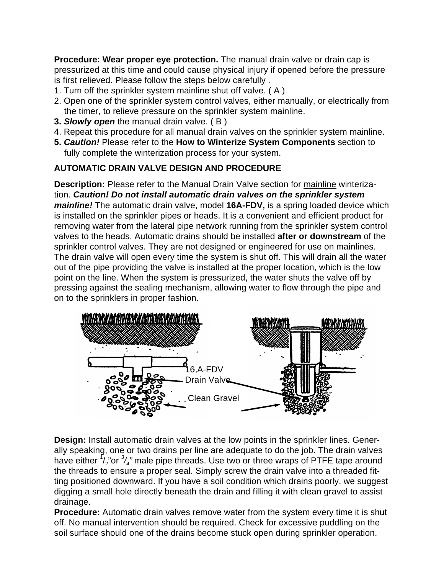**Procedure: Wear proper eye protection.** The manual drain valve or drain cap is pressurized at this time and could cause physical injury if opened before the pressure is first relieved. Please follow the steps below carefully .

- 1. Turn off the sprinkler system mainline shut off valve. ( A )
- 2. Open one of the sprinkler system control valves, either manually, or electrically from the timer, to relieve pressure on the sprinkler system mainline.
- **3.** *Slowly open* the manual drain valve. ( B )
- 4. Repeat this procedure for all manual drain valves on the sprinkler system mainline.
- **5.** *Caution!* Please refer to the **How to Winterize System Components** section to fully complete the winterization process for your system.

#### **AUTOMATIC DRAIN VALVE DESIGN AND PROCEDURE**

**Description:** Please refer to the Manual Drain Valve section for mainline winterization. *Caution! Do not install automatic drain valves on the sprinkler system mainline!* The automatic drain valve, model **16A-FDV,** is a spring loaded device which is installed on the sprinkler pipes or heads. It is a convenient and efficient product for removing water from the lateral pipe network running from the sprinkler system control valves to the heads. Automatic drains should be installed **after or downstream** of the sprinkler control valves. They are not designed or engineered for use on mainlines. The drain valve will open every time the system is shut off. This will drain all the water out of the pipe providing the valve is installed at the proper location, which is the low point on the line. When the system is pressurized, the water shuts the valve off by pressing against the sealing mechanism, allowing water to flow through the pipe and on to the sprinklers in proper fashion.



**Design:** Install automatic drain valves at the low points in the sprinkler lines. Generally speaking, one or two drains per line are adequate to do the job. The drain valves have either  $\sqrt[7]{2}$  or  $\sqrt[3]{4}$  male pipe threads. Use two or three wraps of PTFE tape around the threads to ensure a proper seal. Simply screw the drain valve into a threaded fitting positioned downward. If you have a soil condition which drains poorly, we suggest digging a small hole directly beneath the drain and filling it with clean gravel to assist drainage.

**Procedure:** Automatic drain valves remove water from the system every time it is shut off. No manual intervention should be required. Check for excessive puddling on the soil surface should one of the drains become stuck open during sprinkler operation.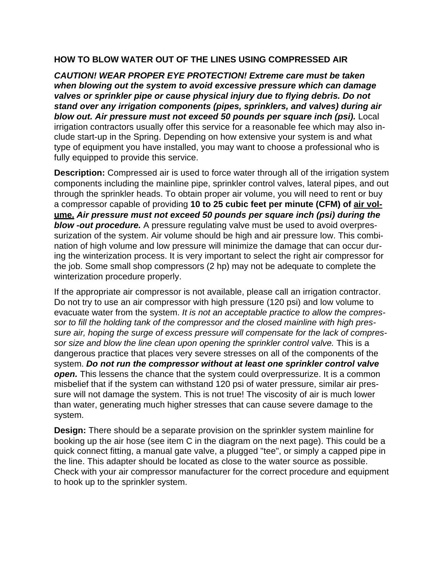#### **HOW TO BLOW WATER OUT OF THE LINES USING COMPRESSED AIR**

*CAUTION! WEAR PROPER EYE PROTECTION! Extreme care must be taken when blowing out the system to avoid excessive pressure which can damage valves or sprinkler pipe or cause physical injury due to flying debris. Do not stand over any irrigation components (pipes, sprinklers, and valves) during air blow out. Air pressure must not exceed 50 pounds per square inch (psi).* Local irrigation contractors usually offer this service for a reasonable fee which may also include start-up in the Spring. Depending on how extensive your system is and what type of equipment you have installed, you may want to choose a professional who is fully equipped to provide this service.

**Description:** Compressed air is used to force water through all of the irrigation system components including the mainline pipe, sprinkler control valves, lateral pipes, and out through the sprinkler heads. To obtain proper air volume, you will need to rent or buy a compressor capable of providing **10 to 25 cubic feet per minute (CFM) of air volume.** *Air pressure must not exceed 50 pounds per square inch (psi) during the blow -out procedure.* A pressure regulating valve must be used to avoid overpressurization of the system. Air volume should be high and air pressure low. This combination of high volume and low pressure will minimize the damage that can occur during the winterization process. It is very important to select the right air compressor for the job. Some small shop compressors (2 hp) may not be adequate to complete the winterization procedure properly.

If the appropriate air compressor is not available, please call an irrigation contractor. Do not try to use an air compressor with high pressure (120 psi) and low volume to evacuate water from the system. *It is not an acceptable practice to allow the compressor to fill the holding tank of the compressor and the closed mainline with high pressure air, hoping the surge of excess pressure will compensate for the lack of compressor size and blow the line clean upon opening the sprinkler control valve.* This is a dangerous practice that places very severe stresses on all of the components of the system. *Do not run the compressor without at least one sprinkler control valve open.* This lessens the chance that the system could overpressurize. It is a common misbelief that if the system can withstand 120 psi of water pressure, similar air pressure will not damage the system. This is not true! The viscosity of air is much lower than water, generating much higher stresses that can cause severe damage to the system.

**Design:** There should be a separate provision on the sprinkler system mainline for booking up the air hose (see item C in the diagram on the next page). This could be a quick connect fitting, a manual gate valve, a plugged "tee", or simply a capped pipe in the line. This adapter should be located as close to the water source as possible. Check with your air compressor manufacturer for the correct procedure and equipment to hook up to the sprinkler system.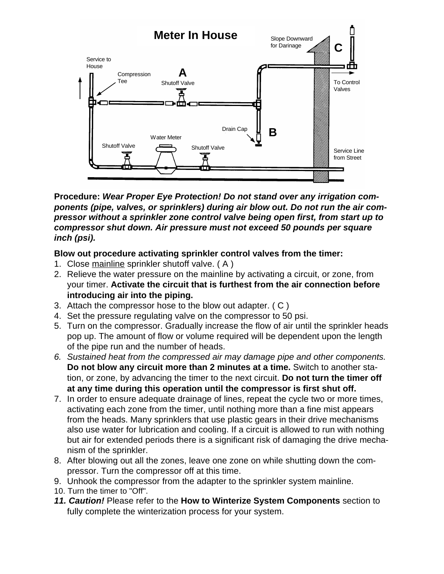

**Procedure:** *Wear Proper Eye Protection! Do not stand over any irrigation components (pipe, valves, or sprinklers) during air blow out. Do not run the air compressor without a sprinkler zone control valve being open first, from start up to compressor shut down. Air pressure must not exceed 50 pounds per square inch (psi).*

#### **Blow out procedure activating sprinkler control valves from the timer:**

- 1. Close mainline sprinkler shutoff valve. ( A )
- 2. Relieve the water pressure on the mainline by activating a circuit, or zone, from your timer. **Activate the circuit that is furthest from the air connection before introducing air into the piping.**
- 3. Attach the compressor hose to the blow out adapter. ( C )
- 4. Set the pressure regulating valve on the compressor to 50 psi.
- 5. Turn on the compressor. Gradually increase the flow of air until the sprinkler heads pop up. The amount of flow or volume required will be dependent upon the length of the pipe run and the number of heads.
- *6. Sustained heat from the compressed air may damage pipe and other components.* **Do not blow any circuit more than 2 minutes at a time.** Switch to another station, or zone, by advancing the timer to the next circuit. **Do not turn the timer off at any time during this operation until the compressor is first shut off.**
- 7. In order to ensure adequate drainage of lines, repeat the cycle two or more times, activating each zone from the timer, until nothing more than a fine mist appears from the heads. Many sprinklers that use plastic gears in their drive mechanisms also use water for lubrication and cooling. If a circuit is allowed to run with nothing but air for extended periods there is a significant risk of damaging the drive mechanism of the sprinkler.
- 8. After blowing out all the zones, leave one zone on while shutting down the compressor. Turn the compressor off at this time.
- 9. Unhook the compressor from the adapter to the sprinkler system mainline.
- 10. Turn the timer to "Off".
- *11. Caution!* Please refer to the **How to Winterize System Components** section to fully complete the winterization process for your system.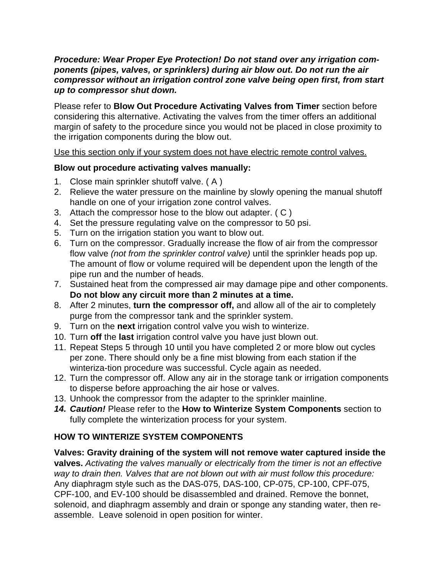#### *Procedure: Wear Proper Eye Protection! Do not stand over any irrigation components (pipes, valves, or sprinklers) during air blow out. Do not run the air compressor without an irrigation control zone valve being open first, from start up to compressor shut down.*

Please refer to **Blow Out Procedure Activating Valves from Timer** section before considering this alternative. Activating the valves from the timer offers an additional margin of safety to the procedure since you would not be placed in close proximity to the irrigation components during the blow out.

Use this section only if your system does not have electric remote control valves.

## **Blow out procedure activating valves manually:**

- 1. Close main sprinkler shutoff valve. ( A )
- 2. Relieve the water pressure on the mainline by slowly opening the manual shutoff handle on one of your irrigation zone control valves.
- 3. Attach the compressor hose to the blow out adapter. ( C )
- 4. Set the pressure regulating valve on the compressor to 50 psi.
- 5. Turn on the irrigation station you want to blow out.
- 6. Turn on the compressor. Gradually increase the flow of air from the compressor flow valve *(not from the sprinkler control valve)* until the sprinkler heads pop up. The amount of flow or volume required will be dependent upon the length of the pipe run and the number of heads.
- 7. Sustained heat from the compressed air may damage pipe and other components. **Do not blow any circuit more than 2 minutes at a time.**
- 8. After 2 minutes, **turn the compressor off,** and allow all of the air to completely purge from the compressor tank and the sprinkler system.
- 9. Turn on the **next** irrigation control valve you wish to winterize.
- 10. Turn **off** the **last** irrigation control valve you have just blown out.
- 11. Repeat Steps 5 through 10 until you have completed 2 or more blow out cycles per zone. There should only be a fine mist blowing from each station if the winteriza-tion procedure was successful. Cycle again as needed.
- 12. Turn the compressor off. Allow any air in the storage tank or irrigation components to disperse before approaching the air hose or valves.
- 13. Unhook the compressor from the adapter to the sprinkler mainline.
- *14. Caution!* Please refer to the **How to Winterize System Components** section to fully complete the winterization process for your system.

# **HOW TO WINTERIZE SYSTEM COMPONENTS**

**Valves: Gravity draining of the system will not remove water captured inside the valves.** *Activating the valves manually or electrically from the timer is not an effective way to drain then. Valves that are not blown out with air must follow this procedure:* Any diaphragm style such as the DAS-075, DAS-100, CP-075, CP-100, CPF-075, CPF-100, and EV-100 should be disassembled and drained. Remove the bonnet, solenoid, and diaphragm assembly and drain or sponge any standing water, then reassemble. Leave solenoid in open position for winter.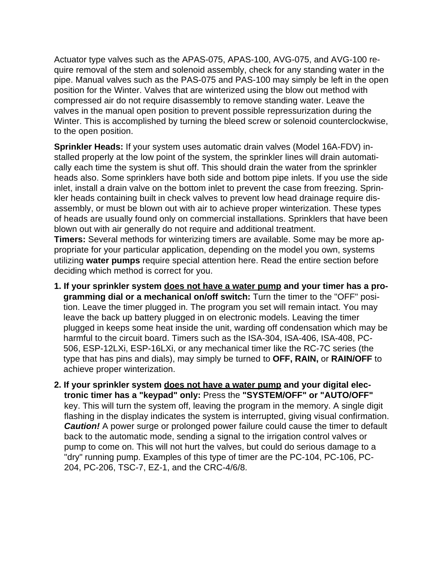Actuator type valves such as the APAS-075, APAS-100, AVG-075, and AVG-100 require removal of the stem and solenoid assembly, check for any standing water in the pipe. Manual valves such as the PAS-075 and PAS-100 may simply be left in the open position for the Winter. Valves that are winterized using the blow out method with compressed air do not require disassembly to remove standing water. Leave the valves in the manual open position to prevent possible repressurization during the Winter. This is accomplished by turning the bleed screw or solenoid counterclockwise, to the open position.

**Sprinkler Heads:** If your system uses automatic drain valves (Model 16A-FDV) installed properly at the low point of the system, the sprinkler lines will drain automatically each time the system is shut off. This should drain the water from the sprinkler heads also. Some sprinklers have both side and bottom pipe inlets. If you use the side inlet, install a drain valve on the bottom inlet to prevent the case from freezing. Sprinkler heads containing built in check valves to prevent low head drainage require disassembly, or must be blown out with air to achieve proper winterization. These types of heads are usually found only on commercial installations. Sprinklers that have been blown out with air generally do not require and additional treatment. **Timers:** Several methods for winterizing timers are available. Some may be more appropriate for your particular application, depending on the model you own, systems utilizing **water pumps** require special attention here. Read the entire section before

deciding which method is correct for you.

- **1. If your sprinkler system does not have a water pump and your timer has a programming dial or a mechanical on/off switch:** Turn the timer to the "OFF" position. Leave the timer plugged in. The program you set will remain intact. You may leave the back up battery plugged in on electronic models. Leaving the timer plugged in keeps some heat inside the unit, warding off condensation which may be harmful to the circuit board. Timers such as the ISA-304, ISA-406, ISA-408, PC-506, ESP-12LXi, ESP-16LXi, or any mechanical timer like the RC-7C series (the type that has pins and dials), may simply be turned to **OFF, RAIN,** or **RAIN/OFF** to achieve proper winterization.
- **2. If your sprinkler system does not have a water pump and your digital electronic timer has a "keypad" only:** Press the **"SYSTEM/OFF" or "AUTO/OFF"** key. This will turn the system off, leaving the program in the memory. A single digit flashing in the display indicates the system is interrupted, giving visual confirmation. **Caution!** A power surge or prolonged power failure could cause the timer to default back to the automatic mode, sending a signal to the irrigation control valves or pump to come on. This will not hurt the valves, but could do serious damage to a "dry" running pump. Examples of this type of timer are the PC-104, PC-106, PC-204, PC-206, TSC-7, EZ-1, and the CRC-4/6/8.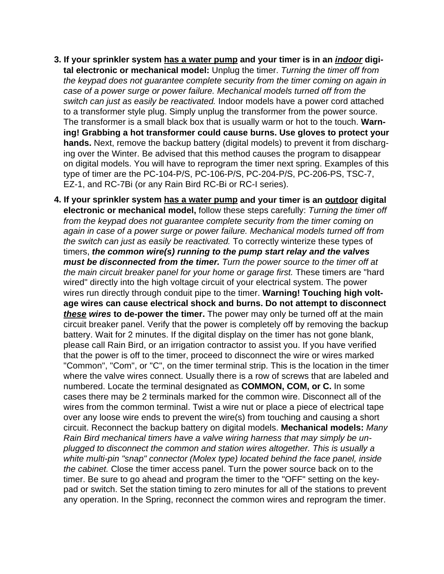- **3. If your sprinkler system has a water pump and your timer is in an** *indoor* **digital electronic or mechanical model:** Unplug the timer. *Turning the timer off from the keypad does not guarantee complete security from the timer coming on again in case of a power surge or power failure. Mechanical models turned off from the switch can just as easily be reactivated.* Indoor models have a power cord attached to a transformer style plug. Simply unplug the transformer from the power source. The transformer is a small black box that is usually warm or hot to the touch. **Warning! Grabbing a hot transformer could cause burns. Use gloves to protect your hands.** Next, remove the backup battery (digital models) to prevent it from discharging over the Winter. Be advised that this method causes the program to disappear on digital models. You will have to reprogram the timer next spring. Examples of this type of timer are the PC-104-P/S, PC-106-P/S, PC-204-P/S, PC-206-PS, TSC-7, EZ-1, and RC-7Bi (or any Rain Bird RC-Bi or RC-I series).
- **4. If your sprinkler system has a water pump and your timer is an outdoor digital electronic or mechanical model,** follow these steps carefully: *Turning the timer off from the keypad does not guarantee complete security from the timer coming on again in case of a power surge or power failure. Mechanical models turned off from the switch can just as easily be reactivated.* To correctly winterize these types of timers, *the common wire(s) running to the pump start relay and the valves must be disconnected from the timer. Turn the power source to the timer off at the main circuit breaker panel for your home or garage first.* These timers are "hard wired" directly into the high voltage circuit of your electrical system. The power wires run directly through conduit pipe to the timer. **Warning! Touching high voltage wires can cause electrical shock and burns. Do not attempt to disconnect** *these wires* **to de-power the timer.** The power may only be turned off at the main circuit breaker panel. Verify that the power is completely off by removing the backup battery. Wait for 2 minutes. If the digital display on the timer has not gone blank, please call Rain Bird, or an irrigation contractor to assist you. If you have verified that the power is off to the timer, proceed to disconnect the wire or wires marked "Common", "Com", or "C", on the timer terminal strip. This is the location in the timer where the valve wires connect. Usually there is a row of screws that are labeled and numbered. Locate the terminal designated as **COMMON, COM, or C.** In some cases there may be 2 terminals marked for the common wire. Disconnect all of the wires from the common terminal. Twist a wire nut or place a piece of electrical tape over any loose wire ends to prevent the wire(s) from touching and causing a short circuit. Reconnect the backup battery on digital models. **Mechanical models:** *Many Rain Bird mechanical timers have a valve wiring harness that may simply be unplugged to disconnect the common and station wires altogether. This is usually a white multi-pin "snap" connector (Molex type) located behind the face panel, inside the cabinet.* Close the timer access panel. Turn the power source back on to the timer. Be sure to go ahead and program the timer to the "OFF" setting on the keypad or switch. Set the station timing to zero minutes for all of the stations to prevent any operation. In the Spring, reconnect the common wires and reprogram the timer.